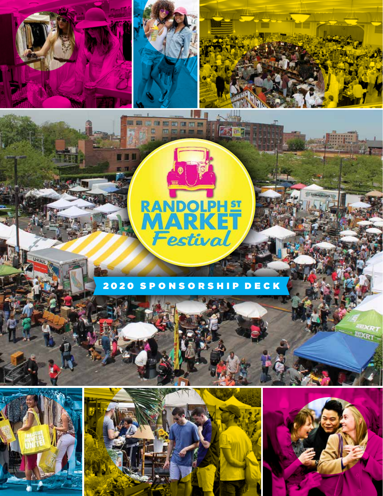



医眼视网膜凹面面部

Œ

mimina a



# **RANDOLPHET** 臫 Festival

6万四日

## 2020 SPONSORSHIP DECK





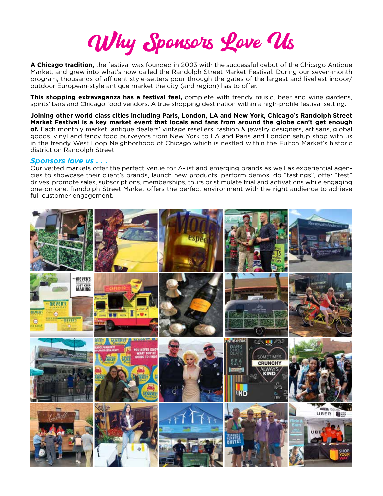Why Sponsors Love Us

**A Chicago tradition,** the festival was founded in 2003 with the successful debut of the Chicago Antique Market, and grew into what's now called the Randolph Street Market Festival. During our seven-month program, thousands of affluent style-setters pour through the gates of the largest and liveliest indoor/ outdoor European-style antique market the city (and region) has to offer.

**This shopping extravaganza has a festival feel,** complete with trendy music, beer and wine gardens, spirits' bars and Chicago food vendors. A true shopping destination within a high-profile festival setting.

**Joining other world class cities including Paris, London, LA and New York, Chicago's Randolph Street Market Festival is a key market event that locals and fans from around the globe can't get enough of.** Each monthly market, antique dealers' vintage resellers, fashion & jewelry designers, artisans, global goods, vinyl and fancy food purveyors from New York to LA and Paris and London setup shop with us in the trendy West Loop Neighborhood of Chicago which is nestled within the Fulton Market's historic district on Randolph Street.

### *Sponsors love us . . .*

Our vetted markets offer the perfect venue for A-list and emerging brands as well as experiential agencies to showcase their client's brands, launch new products, perform demos, do "tastings", offer "test" drives, promote sales, subscriptions, memberships, tours or stimulate trial and activations while engaging one-on-one. Randolph Street Market offers the perfect environment with the right audience to achieve full customer engagement.

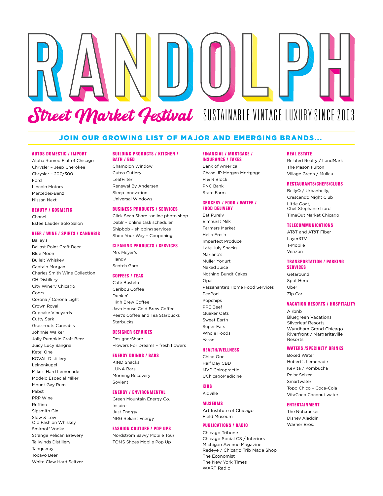# Street Market Festival SUSTAINABLE VINTAGE LUXURY SINCE 2003

### JOIN OUR GROWING LIST OF MAJOR AND EMERGING BRANDS...

### AUTOS DOMESTIC / IMPORT

Alpha Romeo Fiat of Chicago Chrysler – Jeep Cherokee Chrysler – 200/300 Ford Lincoln Motors Mercedes-Benz Nissan Next

### BEAUTY / COSMETIC

Bailey's

Chanel Estee Lauder Solo Salon

### BEER / WINE / SPIRTS / CANNABIS

Ballast Point Craft Beer Blue Moon Bulleit Whiskey Captain Morgan Charles Smith Wine Collection CH Distillery City Winery Chicago Coors Corona / Corona Light Crown Royal Cupcake Vineyards Cutty Sark Grassroots Cannabis Johnnie Walker Jolly Pumpkin Craft Beer Juicy Lucy Sangria Ketel One KOVAL Distillery Leinenkugel Mike's Hard Lemonade Modelo Especial Miller Mount Gay Rum Pabst PRP Wine Ruffino Sipsmith Gin Slow & Low Old Fashion Whiskey Smirnoff Vodka Strange Pelican Brewery Tailwinds Distillery **Tanqueray** Tocayo Beer White Claw Hard Seltzer

### BUILDING PRODUCTS / KITCHEN / BATH / BED

Champion Window Cutco Cutlery LeafFilter Renewal By Andersen Sleep Innovation Universal Windows

### BUSINESS PRODUCTS / SERVICES

Click Scan Share -online photo shop Dablr – online task scheduler Shipbob – shipping services Shop Your Way – Couponing

### CLEANING PRODUCTS / SERVICES

Mrs Meyer's Handy Scotch Gard

### COFFEES / TEAS

Café Bustelo Caribou Coffee Dunkin' High Brew Coffee Java House Cold Brew Coffee Peet's Coffee and Tea Starbucks Starbucks

### DESIGNER SERVICES

**DesignerShare** Flowers For Dreams – fresh flowers

### ENERGY DRINKS / BARS

KIND Snacks LUNA Bars Morning Recovery Soylent

### ENERGY / ENVIRONMENTAL

Green Mountain Energy Co. Inspire Just Energy NRG Reliant Energy

### FASHION COUTURE / POP UPS

Nordstrom Savvy Mobile Tour TOMS Shoes Mobile Pop Up

### FINANCIAL / MORTGAGE / INSURANCE / TAXES

Bank of America Chase JP Morgan Mortgage H & R Block PNC Bank State Farm

### GROCERY / FOOD / WATER / FOOD DELIVERY

Eat Purely Elmhurst Milk Farmers Market Hello Fresh Imperfect Produce Late July Snacks Mariano's Muller Yogurt Naked Juice Nothing Bundt Cakes Opal Passanante's Home Food Services PeaPod Popchips PRE Beef Quaker Oats Sweet Earth Super Eats Whole Foods Yasso

### HEALTH/WELLNESS

Chico One Half Day CBD MVP Chiropractic UChicagoMedicine

### **KIDS**

Kidville MUSEUMS Art Institute of Chicago

Field Museum

### PUBLICATIONS / RADIO

Chicago Tribune Chicago Social CS / Interiors Michigan Avenue Magazine Redeye / Chicago Trib Made Shop The Economist The New York Times WXRT Radio

### REAL ESTATE

Related Realty / LandMark The Mason Fulton Village Green / Mulieu

### RESTAURANTS/CHEFS/CLUBS

BellyQ / Urbanbelly, Crescendo Night Club Little Goat, Chef Stephanie Izard TimeOut Market Chicago

### **TELECOMMUNICATIONS**

AT&T and AT&T Fiber Layer3TV T-Mobile Verizon

### TRANSPORTATION / PARKING SERVICES

Getaround Spot Hero Uber Zip Car

### VACATION RESORTS / HOSPITALITY

Airbnb Bluegreen Vacations Silverleaf Resorts Wyndham Grand Chicago Riverfront / Margaritaville Resorts

### WATERS /SPECIALTY DRINKS

Boxed Water Hubert's Lemonade KeVita / Kombucha Polar Selzer Smartwater Topo Chico – Coca-Cola VitaCoco Coconut water

### ENTERTAINMENT

The Nutcracker Disney Aladdin Warner Bros.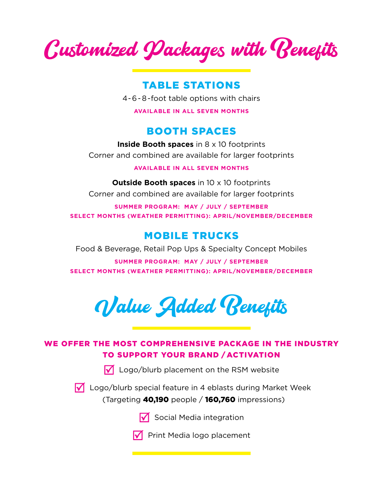Customized Packages with Benefits

# TABLE STATIONS

4-6-8-foot table options with chairs

**AVAILABLE IN ALL SEVEN MONTHS**

# BOOTH SPACES

**Inside Booth spaces** in 8 x 10 footprints Corner and combined are available for larger footprints

### **AVAILABLE IN ALL SEVEN MONTHS**

**Outside Booth spaces** in 10 x 10 footprints Corner and combined are available for larger footprints

**SUMMER PROGRAM: MAY / JULY / SEPTEMBER SELECT MONTHS (WEATHER PERMITTING): APRIL/NOVEMBER/DECEMBER**

# MOBILE TRUCKS

Food & Beverage, Retail Pop Ups & Specialty Concept Mobiles

**SUMMER PROGRAM: MAY / JULY / SEPTEMBER SELECT MONTHS (WEATHER PERMITTING): APRIL/NOVEMBER/DECEMBER**

Value Added Benefits

## WE OFFER THE MOST COMPREHENSIVE PACKAGE IN THE INDUSTRY TO SUPPORT YOUR BRAND / ACTIVATION

 $\sqrt{\phantom{a}}$  Logo/blurb placement on the RSM website

 $\sqrt{\phantom{a}}$  Logo/blurb special feature in 4 eblasts during Market Week (Targeting 40,190 people / 160,760 impressions)



 $\nabla$  Social Media integration

 $\nabla$  Print Media logo placement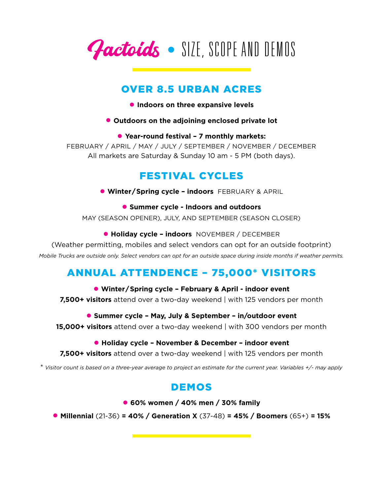Factoids • SIZE, SCOPE AND DEMOS

# OVER 8.5 URBAN ACRES

- **Indoors on three expansive levels**
- **Outdoors on the adjoining enclosed private lot**

### • **Year-round festival – 7 monthly markets:**

FEBRUARY / APRIL / MAY / JULY / SEPTEMBER / NOVEMBER / DECEMBER All markets are Saturday & Sunday 10 am - 5 PM (both days).

# FESTIVAL CYCLES

• **Winter/Spring cycle – indoors** FEBRUARY & APRIL

• **Summer cycle - Indoors and outdoors** MAY (SEASON OPENER), JULY, AND SEPTEMBER (SEASON CLOSER)

• **Holiday cycle – indoors** NOVEMBER / DECEMBER

(Weather permitting, mobiles and select vendors can opt for an outside footprint)

*Mobile Trucks are outside only. Select vendors can opt for an outside space during inside months if weather permits.*

# ANNUAL ATTENDENCE – 75,000\* VISITORS

• **Winter/Spring cycle – February & April - indoor event 7,500+ visitors** attend over a two-day weekend | with 125 vendors per month

• **Summer cycle – May, July & September – in/outdoor event** 

**15,000+ visitors** attend over a two-day weekend | with 300 vendors per month

### • **Holiday cycle – November & December – indoor event**

**7,500+ visitors** attend over a two-day weekend | with 125 vendors per month

\* *Visitor count is based on a three-year average to project an estimate for the current year. Variables +/- may apply*

# DEMOS

• **60% women / 40% men / 30% family** 

• **Millennial** (21-36) **= 40% / Generation X** (37-48) **= 45% / Boomers** (65+) **= 15%**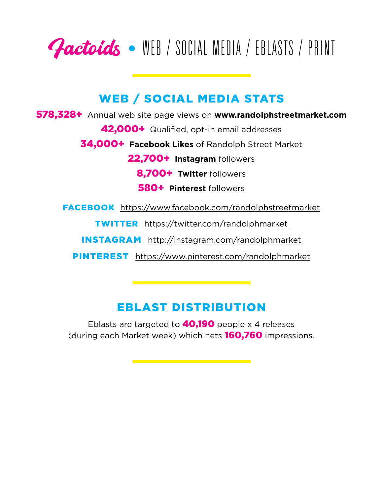

# WEB / SOCIAL MEDIA STATS

578,328+Annual web site page views on **www.randolphstreetmarket.com**

42,000+Qualified, opt-in email addresses

34,000+ **Facebook Likes** of Randolph Street Market

22,700+ **Instagram** followers

8,700+ **Twitter** followers

580+ **Pinterest** followers

FACEBOOK https://www.facebook.com/randolphstreetmarket

TWITTER https://twitter.com/randolphmarket

INSTAGRAM http://instagram.com/randolphmarket

PINTEREST https://www.pinterest.com/randolphmarket

# EBLAST DISTRIBUTION

Eblasts are targeted to  $40,190$  people x 4 releases (during each Market week) which nets 160,760 impressions.